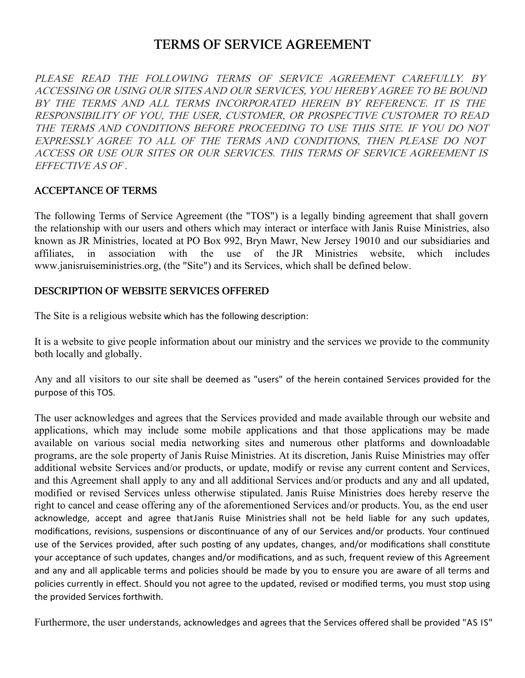# TERMS OF SERVICE AGREEMENT

PLEASE READ THE FOLLOWING TERMS OF SERVICE AGREEMENT CAREFULLY. BY ACCESSING OR USING OUR SITES AND OUR SERVICES, YOU HEREBY AGREE TO BE BOUND BY THE TERMS AND ALL TERMS INCORPORATED HEREIN BY REFERENCE. IT IS THE RESPONSIBILITY OF YOU, THE USER, CUSTOMER, OR PROSPECTIVE CUSTOMER TO READ THE TERMS AND CONDITIONS BEFORE PROCEEDING TO USE THIS SITE. IF YOU DO NOT EXPRESSLY AGREE TO ALL OF THE TERMS AND CONDITIONS, THEN PLEASE DO NOT ACCESS OR USE OUR SITES OR OUR SERVICES. THIS TERMS OF SERVICE AGREEMENT IS EFFECTIVE AS OF .

#### ACCEPTANCE OF TERMS

The following Terms of Service Agreement (the "TOS") is a legally binding agreement that shall govern the relationship with our users and others which may interact or interface with Janis Ruise Ministries, also known as JR Ministries, located at PO Box 992, Bryn Mawr, New Jersey 19010 and our subsidiaries and affiliates, in association with the use of the JR Ministries website, which includes www.janisruiseministries.org, (the "Site") and its Services, which shall be defined below.

#### DESCRIPTION OF WEBSITE SERVICES OFFERED

The Site is a religious website which has the following description:

It is a website to give people information about our ministry and the services we provide to the community both locally and globally.

Any and all visitors to our site shall be deemed as "users" of the herein contained Services provided for the purpose of this TOS.

The user acknowledges and agrees that the Services provided and made available through our website and applications, which may include some mobile applications and that those applications may be made available on various social media networking sites and numerous other platforms and downloadable programs, are the sole property of Janis Ruise Ministries. At its discretion, Janis Ruise Ministries may offer additional website Services and/or products, or update, modify or revise any current content and Services, and this Agreement shall apply to any and all additional Services and/or products and any and all updated, modified or revised Services unless otherwise stipulated. Janis Ruise Ministries does hereby reserve the right to cancel and cease offering any of the aforementioned Services and/or products. You, as the end user acknowledge, accept and agree that Janis Ruise Ministries shall not be held liable for any such updates, modifications, revisions, suspensions or discontinuance of any of our Services and/or products. Your continued use of the Services provided, after such posting of any updates, changes, and/or modifications shall constitute your acceptance of such updates, changes and/or modifications, and as such, frequent review of this Agreement and any and all applicable terms and policies should be made by you to ensure you are aware of all terms and policies currently in effect. Should you not agree to the updated, revised or modified terms, you must stop using the provided Services forthwith.

Furthermore, the user understands, acknowledges and agrees that the Services offered shall be provided "AS IS"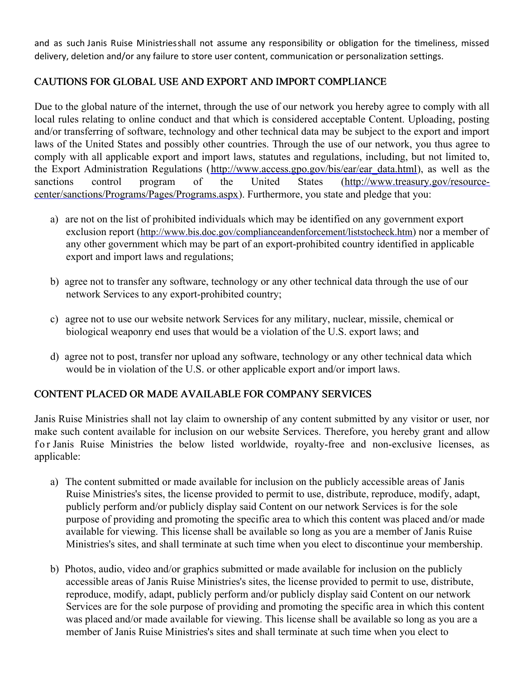and as such Janis Ruise Ministries shall not assume any responsibility or obligation for the timeliness, missed delivery, deletion and/or any failure to store user content, communication or personalization settings.

# CAUTIONS FOR GLOBAL USE AND EXPORT AND IMPORT COMPLIANCE

Due to the global nature of the internet, through the use of our network you hereby agree to comply with all local rules relating to online conduct and that which is considered acceptable Content. Uploading, posting and/or transferring of software, technology and other technical data may be subject to the export and import laws of the United States and possibly other countries. Through the use of our network, you thus agree to comply with all applicable export and import laws, statutes and regulations, including, but not limited to, the Export Administration Regulations [\(http://www.access.gpo.gov/bis/ear/ear\\_data.html](http://www.access.gpo.gov/bis/ear/ear_data.html)), as well as the [sanctions control program of the United States \(http://www.treasury.gov/resource](http://www.treasury.gov/resource-center/sanctions/Programs/Pages/Programs.aspx)center/sanctions/Programs/Pages/Programs.aspx). Furthermore, you state and pledge that you:

- a) are not on the list of prohibited individuals which may be identified on any government export exclusion report (<http://www.bis.doc.gov/complianceandenforcement/liststocheck.htm>) nor a member of any other government which may be part of an export-prohibited country identified in applicable export and import laws and regulations;
- b) agree not to transfer any software, technology or any other technical data through the use of our network Services to any export-prohibited country;
- c) agree not to use our website network Services for any military, nuclear, missile, chemical or biological weaponry end uses that would be a violation of the U.S. export laws; and
- d) agree not to post, transfer nor upload any software, technology or any other technical data which would be in violation of the U.S. or other applicable export and/or import laws.

## CONTENT PLACED OR MADE AVAILABLE FOR COMPANY SERVICES

Janis Ruise Ministries shall not lay claim to ownership of any content submitted by any visitor or user, nor make such content available for inclusion on our website Services. Therefore, you hereby grant and allow for Janis Ruise Ministries the below listed worldwide, royalty-free and non-exclusive licenses, as applicable:

- a) The content submitted or made available for inclusion on the publicly accessible areas of Janis Ruise Ministries's sites, the license provided to permit to use, distribute, reproduce, modify, adapt, publicly perform and/or publicly display said Content on our network Services is for the sole purpose of providing and promoting the specific area to which this content was placed and/or made available for viewing. This license shall be available so long as you are a member of Janis Ruise Ministries's sites, and shall terminate at such time when you elect to discontinue your membership.
- b) Photos, audio, video and/or graphics submitted or made available for inclusion on the publicly accessible areas of Janis Ruise Ministries's sites, the license provided to permit to use, distribute, reproduce, modify, adapt, publicly perform and/or publicly display said Content on our network Services are for the sole purpose of providing and promoting the specific area in which this content was placed and/or made available for viewing. This license shall be available so long as you are a member of Janis Ruise Ministries's sites and shall terminate at such time when you elect to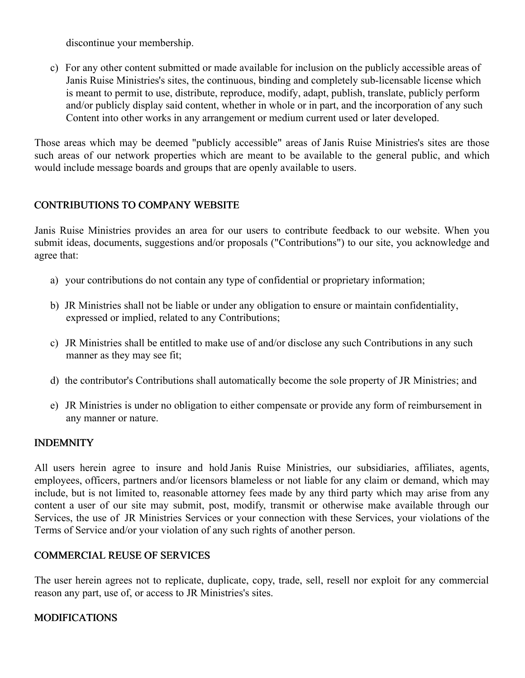discontinue your membership.

c) For any other content submitted or made available for inclusion on the publicly accessible areas of Janis Ruise Ministries's sites, the continuous, binding and completely sub-licensable license which is meant to permit to use, distribute, reproduce, modify, adapt, publish, translate, publicly perform and/or publicly display said content, whether in whole or in part, and the incorporation of any such Content into other works in any arrangement or medium current used or later developed.

Those areas which may be deemed "publicly accessible" areas of Janis Ruise Ministries's sites are those such areas of our network properties which are meant to be available to the general public, and which would include message boards and groups that are openly available to users.

# CONTRIBUTIONS TO COMPANY WEBSITE

Janis Ruise Ministries provides an area for our users to contribute feedback to our website. When you submit ideas, documents, suggestions and/or proposals ("Contributions") to our site, you acknowledge and agree that:

- a) your contributions do not contain any type of confidential or proprietary information;
- b) JR Ministries shall not be liable or under any obligation to ensure or maintain confidentiality, expressed or implied, related to any Contributions;
- c) JR Ministries shall be entitled to make use of and/or disclose any such Contributions in any such manner as they may see fit;
- d) the contributor's Contributions shall automatically become the sole property of JR Ministries; and
- e) JR Ministries is under no obligation to either compensate or provide any form of reimbursement in any manner or nature.

## INDEMNITY

All users herein agree to insure and hold Janis Ruise Ministries, our subsidiaries, affiliates, agents, employees, officers, partners and/or licensors blameless or not liable for any claim or demand, which may include, but is not limited to, reasonable attorney fees made by any third party which may arise from any content a user of our site may submit, post, modify, transmit or otherwise make available through our Services, the use of JR Ministries Services or your connection with these Services, your violations of the Terms of Service and/or your violation of any such rights of another person.

## COMMERCIAL REUSE OF SERVICES

The user herein agrees not to replicate, duplicate, copy, trade, sell, resell nor exploit for any commercial reason any part, use of, or access to JR Ministries's sites.

## MODIFICATIONS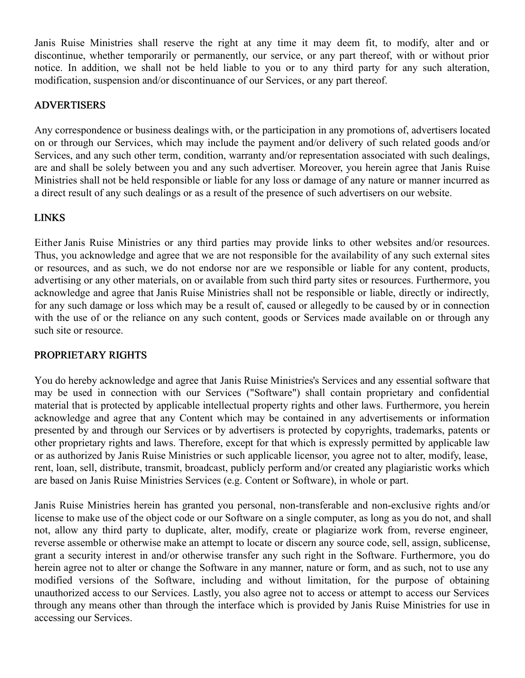Janis Ruise Ministries shall reserve the right at any time it may deem fit, to modify, alter and or discontinue, whether temporarily or permanently, our service, or any part thereof, with or without prior notice. In addition, we shall not be held liable to you or to any third party for any such alteration, modification, suspension and/or discontinuance of our Services, or any part thereof.

#### ADVERTISERS

Any correspondence or business dealings with, or the participation in any promotions of, advertisers located on or through our Services, which may include the payment and/or delivery of such related goods and/or Services, and any such other term, condition, warranty and/or representation associated with such dealings, are and shall be solely between you and any such advertiser. Moreover, you herein agree that Janis Ruise Ministries shall not be held responsible or liable for any loss or damage of any nature or manner incurred as a direct result of any such dealings or as a result of the presence of such advertisers on our website.

#### LINKS

Either Janis Ruise Ministries or any third parties may provide links to other websites and/or resources. Thus, you acknowledge and agree that we are not responsible for the availability of any such external sites or resources, and as such, we do not endorse nor are we responsible or liable for any content, products, advertising or any other materials, on or available from such third party sites or resources. Furthermore, you acknowledge and agree that Janis Ruise Ministries shall not be responsible or liable, directly or indirectly, for any such damage or loss which may be a result of, caused or allegedly to be caused by or in connection with the use of or the reliance on any such content, goods or Services made available on or through any such site or resource.

## PROPRIETARY RIGHTS

You do hereby acknowledge and agree that Janis Ruise Ministries's Services and any essential software that may be used in connection with our Services ("Software") shall contain proprietary and confidential material that is protected by applicable intellectual property rights and other laws. Furthermore, you herein acknowledge and agree that any Content which may be contained in any advertisements or information presented by and through our Services or by advertisers is protected by copyrights, trademarks, patents or other proprietary rights and laws. Therefore, except for that which is expressly permitted by applicable law or as authorized by Janis Ruise Ministries or such applicable licensor, you agree not to alter, modify, lease, rent, loan, sell, distribute, transmit, broadcast, publicly perform and/or created any plagiaristic works which are based on Janis Ruise Ministries Services (e.g. Content or Software), in whole or part.

Janis Ruise Ministries herein has granted you personal, non-transferable and non-exclusive rights and/or license to make use of the object code or our Software on a single computer, as long as you do not, and shall not, allow any third party to duplicate, alter, modify, create or plagiarize work from, reverse engineer, reverse assemble or otherwise make an attempt to locate or discern any source code, sell, assign, sublicense, grant a security interest in and/or otherwise transfer any such right in the Software. Furthermore, you do herein agree not to alter or change the Software in any manner, nature or form, and as such, not to use any modified versions of the Software, including and without limitation, for the purpose of obtaining unauthorized access to our Services. Lastly, you also agree not to access or attempt to access our Services through any means other than through the interface which is provided by Janis Ruise Ministries for use in accessing our Services.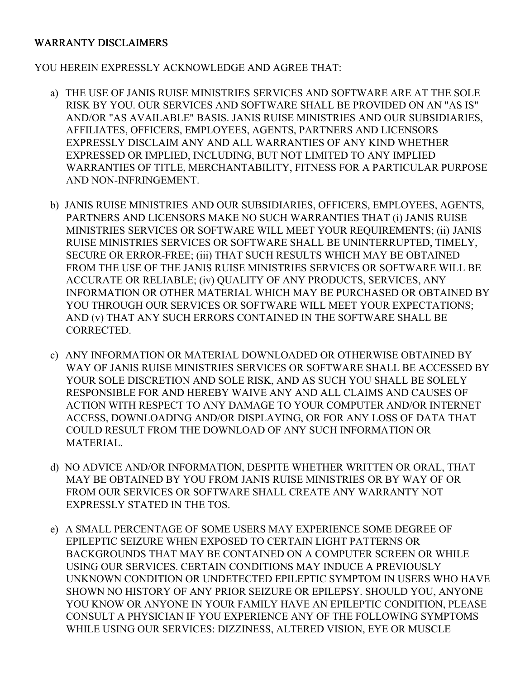#### WARRANTY DISCLAIMERS

YOU HEREIN EXPRESSLY ACKNOWLEDGE AND AGREE THAT:

- a) THE USE OF JANIS RUISE MINISTRIES SERVICES AND SOFTWARE ARE AT THE SOLE RISK BY YOU. OUR SERVICES AND SOFTWARE SHALL BE PROVIDED ON AN "AS IS" AND/OR "AS AVAILABLE" BASIS. JANIS RUISE MINISTRIES AND OUR SUBSIDIARIES, AFFILIATES, OFFICERS, EMPLOYEES, AGENTS, PARTNERS AND LICENSORS EXPRESSLY DISCLAIM ANY AND ALL WARRANTIES OF ANY KIND WHETHER EXPRESSED OR IMPLIED, INCLUDING, BUT NOT LIMITED TO ANY IMPLIED WARRANTIES OF TITLE, MERCHANTABILITY, FITNESS FOR A PARTICULAR PURPOSE AND NON-INFRINGEMENT.
- b) JANIS RUISE MINISTRIES AND OUR SUBSIDIARIES, OFFICERS, EMPLOYEES, AGENTS, PARTNERS AND LICENSORS MAKE NO SUCH WARRANTIES THAT (i) JANIS RUISE MINISTRIES SERVICES OR SOFTWARE WILL MEET YOUR REQUIREMENTS; (ii) JANIS RUISE MINISTRIES SERVICES OR SOFTWARE SHALL BE UNINTERRUPTED, TIMELY, SECURE OR ERROR-FREE; (iii) THAT SUCH RESULTS WHICH MAY BE OBTAINED FROM THE USE OF THE JANIS RUISE MINISTRIES SERVICES OR SOFTWARE WILL BE ACCURATE OR RELIABLE; (iv) QUALITY OF ANY PRODUCTS, SERVICES, ANY INFORMATION OR OTHER MATERIAL WHICH MAY BE PURCHASED OR OBTAINED BY YOU THROUGH OUR SERVICES OR SOFTWARE WILL MEET YOUR EXPECTATIONS; AND (v) THAT ANY SUCH ERRORS CONTAINED IN THE SOFTWARE SHALL BE CORRECTED.
- c) ANY INFORMATION OR MATERIAL DOWNLOADED OR OTHERWISE OBTAINED BY WAY OF JANIS RUISE MINISTRIES SERVICES OR SOFTWARE SHALL BE ACCESSED BY YOUR SOLE DISCRETION AND SOLE RISK, AND AS SUCH YOU SHALL BE SOLELY RESPONSIBLE FOR AND HEREBY WAIVE ANY AND ALL CLAIMS AND CAUSES OF ACTION WITH RESPECT TO ANY DAMAGE TO YOUR COMPUTER AND/OR INTERNET ACCESS, DOWNLOADING AND/OR DISPLAYING, OR FOR ANY LOSS OF DATA THAT COULD RESULT FROM THE DOWNLOAD OF ANY SUCH INFORMATION OR MATERIAL.
- d) NO ADVICE AND/OR INFORMATION, DESPITE WHETHER WRITTEN OR ORAL, THAT MAY BE OBTAINED BY YOU FROM JANIS RUISE MINISTRIES OR BY WAY OF OR FROM OUR SERVICES OR SOFTWARE SHALL CREATE ANY WARRANTY NOT EXPRESSLY STATED IN THE TOS.
- e) A SMALL PERCENTAGE OF SOME USERS MAY EXPERIENCE SOME DEGREE OF EPILEPTIC SEIZURE WHEN EXPOSED TO CERTAIN LIGHT PATTERNS OR BACKGROUNDS THAT MAY BE CONTAINED ON A COMPUTER SCREEN OR WHILE USING OUR SERVICES. CERTAIN CONDITIONS MAY INDUCE A PREVIOUSLY UNKNOWN CONDITION OR UNDETECTED EPILEPTIC SYMPTOM IN USERS WHO HAVE SHOWN NO HISTORY OF ANY PRIOR SEIZURE OR EPILEPSY. SHOULD YOU, ANYONE YOU KNOW OR ANYONE IN YOUR FAMILY HAVE AN EPILEPTIC CONDITION, PLEASE CONSULT A PHYSICIAN IF YOU EXPERIENCE ANY OF THE FOLLOWING SYMPTOMS WHILE USING OUR SERVICES: DIZZINESS, ALTERED VISION, EYE OR MUSCLE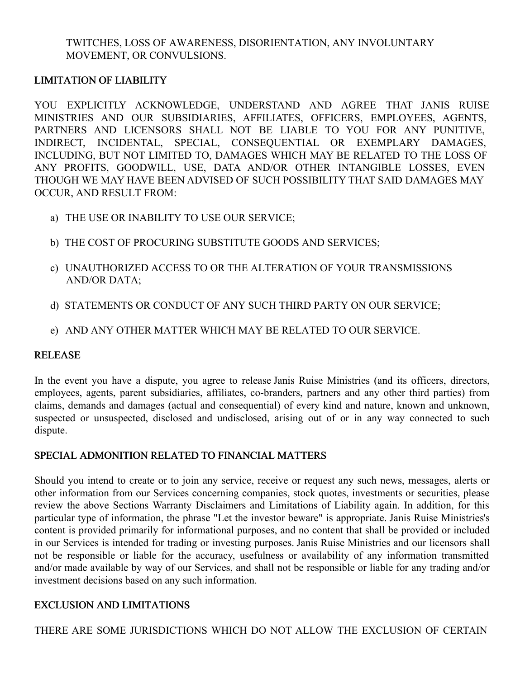TWITCHES, LOSS OF AWARENESS, DISORIENTATION, ANY INVOLUNTARY MOVEMENT, OR CONVULSIONS.

#### LIMITATION OF LIABILITY

YOU EXPLICITLY ACKNOWLEDGE, UNDERSTAND AND AGREE THAT JANIS RUISE MINISTRIES AND OUR SUBSIDIARIES, AFFILIATES, OFFICERS, EMPLOYEES, AGENTS, PARTNERS AND LICENSORS SHALL NOT BE LIABLE TO YOU FOR ANY PUNITIVE, INDIRECT, INCIDENTAL, SPECIAL, CONSEQUENTIAL OR EXEMPLARY DAMAGES, INCLUDING, BUT NOT LIMITED TO, DAMAGES WHICH MAY BE RELATED TO THE LOSS OF ANY PROFITS, GOODWILL, USE, DATA AND/OR OTHER INTANGIBLE LOSSES, EVEN THOUGH WE MAY HAVE BEEN ADVISED OF SUCH POSSIBILITY THAT SAID DAMAGES MAY OCCUR, AND RESULT FROM:

- a) THE USE OR INABILITY TO USE OUR SERVICE;
- b) THE COST OF PROCURING SUBSTITUTE GOODS AND SERVICES;
- c) UNAUTHORIZED ACCESS TO OR THE ALTERATION OF YOUR TRANSMISSIONS AND/OR DATA;
- d) STATEMENTS OR CONDUCT OF ANY SUCH THIRD PARTY ON OUR SERVICE;
- e) AND ANY OTHER MATTER WHICH MAY BE RELATED TO OUR SERVICE.

## RELEASE

In the event you have a dispute, you agree to release Janis Ruise Ministries (and its officers, directors, employees, agents, parent subsidiaries, affiliates, co-branders, partners and any other third parties) from claims, demands and damages (actual and consequential) of every kind and nature, known and unknown, suspected or unsuspected, disclosed and undisclosed, arising out of or in any way connected to such dispute.

## SPECIAL ADMONITION RELATED TO FINANCIAL MATTERS

Should you intend to create or to join any service, receive or request any such news, messages, alerts or other information from our Services concerning companies, stock quotes, investments or securities, please review the above Sections Warranty Disclaimers and Limitations of Liability again. In addition, for this particular type of information, the phrase "Let the investor beware" is appropriate. Janis Ruise Ministries's content is provided primarily for informational purposes, and no content that shall be provided or included in our Services is intended for trading or investing purposes. Janis Ruise Ministries and our licensors shall not be responsible or liable for the accuracy, usefulness or availability of any information transmitted and/or made available by way of our Services, and shall not be responsible or liable for any trading and/or investment decisions based on any such information.

# EXCLUSION AND LIMITATIONS

THERE ARE SOME JURISDICTIONS WHICH DO NOT ALLOW THE EXCLUSION OF CERTAIN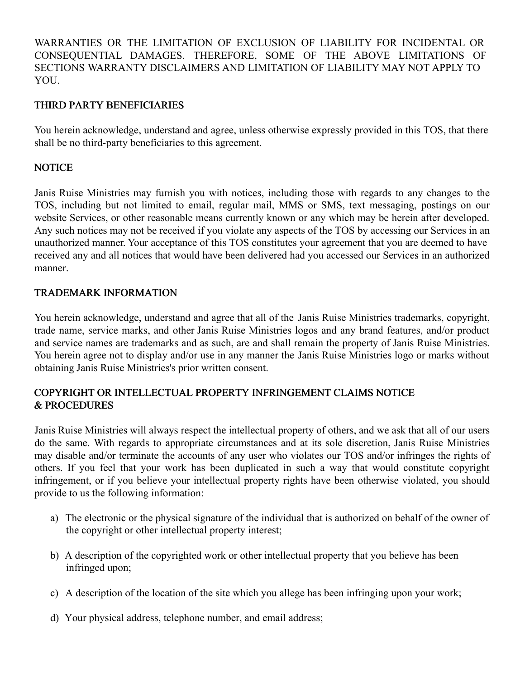WARRANTIES OR THE LIMITATION OF EXCLUSION OF LIABILITY FOR INCIDENTAL OR CONSEQUENTIAL DAMAGES. THEREFORE, SOME OF THE ABOVE LIMITATIONS OF SECTIONS WARRANTY DISCLAIMERS AND LIMITATION OF LIABILITY MAY NOT APPLY TO YOU.

#### THIRD PARTY BENEFICIARIES

You herein acknowledge, understand and agree, unless otherwise expressly provided in this TOS, that there shall be no third-party beneficiaries to this agreement.

#### **NOTICE**

Janis Ruise Ministries may furnish you with notices, including those with regards to any changes to the TOS, including but not limited to email, regular mail, MMS or SMS, text messaging, postings on our website Services, or other reasonable means currently known or any which may be herein after developed. Any such notices may not be received if you violate any aspects of the TOS by accessing our Services in an unauthorized manner. Your acceptance of this TOS constitutes your agreement that you are deemed to have received any and all notices that would have been delivered had you accessed our Services in an authorized manner.

#### TRADEMARK INFORMATION

You herein acknowledge, understand and agree that all of the Janis Ruise Ministries trademarks, copyright, trade name, service marks, and other Janis Ruise Ministries logos and any brand features, and/or product and service names are trademarks and as such, are and shall remain the property of Janis Ruise Ministries. You herein agree not to display and/or use in any manner the Janis Ruise Ministries logo or marks without obtaining Janis Ruise Ministries's prior written consent.

## COPYRIGHT OR INTELLECTUAL PROPERTY INFRINGEMENT CLAIMS NOTICE & PROCEDURES

Janis Ruise Ministries will always respect the intellectual property of others, and we ask that all of our users do the same. With regards to appropriate circumstances and at its sole discretion, Janis Ruise Ministries may disable and/or terminate the accounts of any user who violates our TOS and/or infringes the rights of others. If you feel that your work has been duplicated in such a way that would constitute copyright infringement, or if you believe your intellectual property rights have been otherwise violated, you should provide to us the following information:

- a) The electronic or the physical signature of the individual that is authorized on behalf of the owner of the copyright or other intellectual property interest;
- b) A description of the copyrighted work or other intellectual property that you believe has been infringed upon;
- c) A description of the location of the site which you allege has been infringing upon your work;
- d) Your physical address, telephone number, and email address;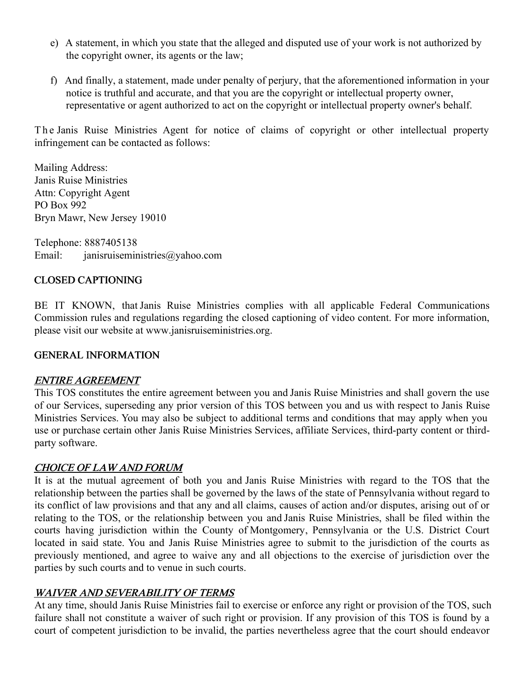- e) A statement, in which you state that the alleged and disputed use of your work is not authorized by the copyright owner, its agents or the law;
- f) And finally, a statement, made under penalty of perjury, that the aforementioned information in your notice is truthful and accurate, and that you are the copyright or intellectual property owner, representative or agent authorized to act on the copyright or intellectual property owner's behalf.

The Janis Ruise Ministries Agent for notice of claims of copyright or other intellectual property infringement can be contacted as follows:

Mailing Address: Janis Ruise Ministries Attn: Copyright Agent PO Box 992 Bryn Mawr, New Jersey 19010

Telephone: 8887405138 Email: janisruiseministries@yahoo.com

## CLOSED CAPTIONING

BE IT KNOWN, that Janis Ruise Ministries complies with all applicable Federal Communications Commission rules and regulations regarding the closed captioning of video content. For more information, please visit our website at www.janisruiseministries.org.

## GENERAL INFORMATION

## ENTIRE AGREEMENT

This TOS constitutes the entire agreement between you and Janis Ruise Ministries and shall govern the use of our Services, superseding any prior version of this TOS between you and us with respect to Janis Ruise Ministries Services. You may also be subject to additional terms and conditions that may apply when you use or purchase certain other Janis Ruise Ministries Services, affiliate Services, third-party content or thirdparty software.

## CHOICE OF LAW AND FORUM

It is at the mutual agreement of both you and Janis Ruise Ministries with regard to the TOS that the relationship between the parties shall be governed by the laws of the state of Pennsylvania without regard to its conflict of law provisions and that any and all claims, causes of action and/or disputes, arising out of or relating to the TOS, or the relationship between you and Janis Ruise Ministries, shall be filed within the courts having jurisdiction within the County of Montgomery, Pennsylvania or the U.S. District Court located in said state. You and Janis Ruise Ministries agree to submit to the jurisdiction of the courts as previously mentioned, and agree to waive any and all objections to the exercise of jurisdiction over the parties by such courts and to venue in such courts.

## WAIVER AND SEVERABILITY OF TERMS

At any time, should Janis Ruise Ministries fail to exercise or enforce any right or provision of the TOS, such failure shall not constitute a waiver of such right or provision. If any provision of this TOS is found by a court of competent jurisdiction to be invalid, the parties nevertheless agree that the court should endeavor